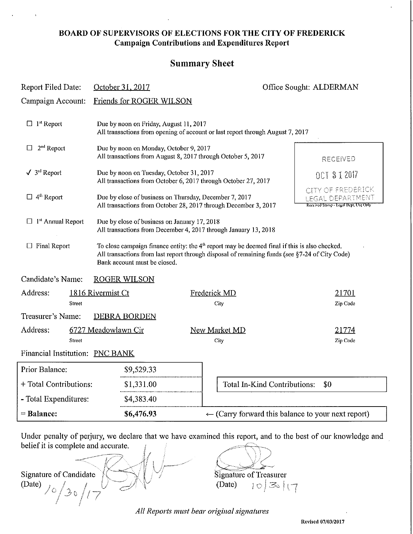#### **BOARD OF SUPERVISORS OF ELECTIONS FOR THE CITY OF FREDERICK Campaign Contributions and Expenditures Report**

### **Summary Sheet**

| October 31, 2017                                                                                                                                                                                                                  |                                                                                                                                                                                   | Office Sought: ALDERMAN                                                                                                                       |  |  |
|-----------------------------------------------------------------------------------------------------------------------------------------------------------------------------------------------------------------------------------|-----------------------------------------------------------------------------------------------------------------------------------------------------------------------------------|-----------------------------------------------------------------------------------------------------------------------------------------------|--|--|
| Friends for ROGER WILSON<br>Campaign Account:                                                                                                                                                                                     |                                                                                                                                                                                   |                                                                                                                                               |  |  |
| Due by noon on Friday, August 11, 2017<br>All transactions from opening of account or last report through August 7, 2017                                                                                                          |                                                                                                                                                                                   |                                                                                                                                               |  |  |
| Due by noon on Monday, October 9, 2017<br>All transactions from August 8, 2017 through October 5, 2017                                                                                                                            |                                                                                                                                                                                   | RECENED                                                                                                                                       |  |  |
| Due by noon on Tuesday, October 31, 2017<br>All transactions from October 6, 2017 through October 27, 2017                                                                                                                        |                                                                                                                                                                                   | 0CT 3 1 2017                                                                                                                                  |  |  |
| Due by close of business on Thursday, December 7, 2017<br>All transactions from October 28, 2017 through December 3, 2017                                                                                                         |                                                                                                                                                                                   | CITY OF FREDERICK<br>GAL DEPARTMENT<br>Received Stories - Legal Dept. Use Only                                                                |  |  |
| $\Box$ 1 <sup>st</sup> Annual Report<br>Due by close of business on January 17, 2018<br>All transactions from December 4, 2017 through January 13, 2018                                                                           |                                                                                                                                                                                   |                                                                                                                                               |  |  |
| To close campaign finance entity: the $4th$ report may be deemed final if this is also checked.<br>All transactions from last report through disposal of remaining funds (see §7-24 of City Code)<br>Bank account must be closed. |                                                                                                                                                                                   |                                                                                                                                               |  |  |
|                                                                                                                                                                                                                                   |                                                                                                                                                                                   |                                                                                                                                               |  |  |
|                                                                                                                                                                                                                                   |                                                                                                                                                                                   | 21701<br>Zip Code                                                                                                                             |  |  |
|                                                                                                                                                                                                                                   |                                                                                                                                                                                   |                                                                                                                                               |  |  |
|                                                                                                                                                                                                                                   | City                                                                                                                                                                              | 21774<br>Zip Code                                                                                                                             |  |  |
|                                                                                                                                                                                                                                   |                                                                                                                                                                                   |                                                                                                                                               |  |  |
|                                                                                                                                                                                                                                   |                                                                                                                                                                                   | \$0                                                                                                                                           |  |  |
|                                                                                                                                                                                                                                   |                                                                                                                                                                                   |                                                                                                                                               |  |  |
|                                                                                                                                                                                                                                   |                                                                                                                                                                                   |                                                                                                                                               |  |  |
|                                                                                                                                                                                                                                   | <b>ROGER WILSON</b><br>1816 Rivermist Ct<br><b>DEBRA BORDEN</b><br>6727 Meadowlawn Cir<br>Financial Institution: PNC BANK<br>\$9,529.33<br>\$1,331.00<br>\$4,383.40<br>\$6,476.93 | Frederick MD<br>City<br><b>New Market MD</b><br>Total In-Kind Contributions:<br>$\leftarrow$ (Carry forward this balance to your next report) |  |  |

Under penalty of perjury, we declare that we have examined this report, and to the best of our knowledge and belief it is complete and accurate.

Signature of Candidate  $\sqrt{\left(\frac{1}{2}\right)^2}$  Signature of Treasurer (Date)  $\bigg/$  0  $\geq 0$ 

 $\epsilon$  $\bigcirc \mathbb{Q}$  $(Date)$   $| \circ | \leq | \cdot | \cdot |$ 

All Reports must bear original signatures

**Reyised 07/0312017**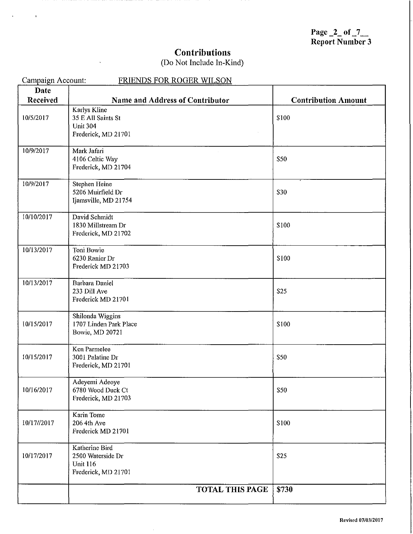Page  $2$  of  $7$ Report Number 3

# **Contributions**

## (Do Not Include In-Kind)

 $\overline{a}$ 

| Campaign Account: | <b>FRIENDS FOR ROGER WILSON</b>           |                            |
|-------------------|-------------------------------------------|----------------------------|
| <b>Date</b>       |                                           |                            |
| Received          | Name and Address of Contributor           | <b>Contribution Amount</b> |
| 10/5/2017         | Karlys Kline<br>35 E All Saints St        | \$100                      |
|                   | <b>Unit 304</b>                           |                            |
|                   | Frederick, MD 21701                       |                            |
| 10/9/2017         | Mark Jafari                               |                            |
|                   | 4106 Celtic Way                           | \$50                       |
|                   | Frederick, MD 21704                       |                            |
| 10/9/2017         | Stephen Heine                             |                            |
|                   | 5206 Muirfield Dr                         | \$30                       |
|                   | Ijamsville, MD 21754                      |                            |
| 10/10/2017        | David Schmidt                             |                            |
|                   | 1830 Millstream Dr                        | \$100                      |
|                   | Frederick, MD 21702                       |                            |
| 10/13/2017        | Toni Bowie                                |                            |
|                   | 6230 Ranier Dr                            | \$100                      |
|                   | Frederick MD 21703                        |                            |
| 10/13/2017        | <b>Barbara Daniel</b>                     |                            |
|                   | 233 Dill Ave                              | S25                        |
|                   | Frederick MD 21701                        |                            |
|                   | Shilonda Wiggins                          |                            |
| 10/15/2017        | 1707 Linden Park Place<br>Bowie, MD 20721 | \$100                      |
|                   |                                           |                            |
|                   | Ken Parmelee                              |                            |
| 10/15/2017        | 3001 Palatine Dr<br>Frederick, MD 21701   | \$50                       |
|                   |                                           |                            |
|                   | Adeyemi Adeoye                            |                            |
| 10/16/2017        | 6780 Wood Duck Ct                         | <b>S50</b>                 |
|                   | Frederick, MD 21703                       |                            |
|                   | Karin Tome                                |                            |
| 10/17//2017       | 206 4th Ave<br>Frederick MD 21701         | \$100                      |
|                   |                                           |                            |
|                   | Katherine Bird                            |                            |
| 10/17/2017        | 2500 Waterside Dr<br><b>Unit 116</b>      | \$25                       |
|                   | Frederick, MD 21701                       |                            |
|                   | <b>TOTAL THIS PAGE</b>                    | \$730                      |
|                   |                                           |                            |

 $\hat{\boldsymbol{\theta}}$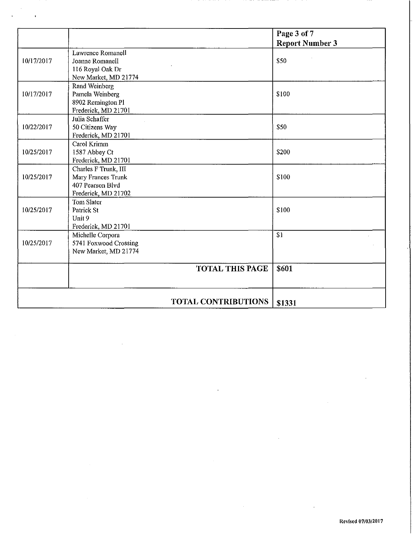|            |                                           | Page 3 of 7<br><b>Report Number 3</b> |
|------------|-------------------------------------------|---------------------------------------|
|            | Lawrence Romanell                         |                                       |
| 10/17/2017 | Joanne Romanell                           | <b>S50</b>                            |
|            | 116 Royal Oak Dr                          |                                       |
|            | New Market, MD 21774                      |                                       |
|            | Rand Weinberg                             |                                       |
| 10/17/2017 | Pamela Weinberg                           | \$100                                 |
|            | 8902 Remington Pl                         |                                       |
|            | Frederick, MD 21701                       |                                       |
|            | Julia Schaffer                            |                                       |
| 10/22/2017 | 50 Citizens Way                           | \$50                                  |
|            | Frederick, MD 21701                       |                                       |
|            | Carol Krimm                               |                                       |
| 10/25/2017 | 1587 Abbey Ct                             | <b>\$200</b>                          |
|            | Frederick, MD 21701                       |                                       |
|            | Charles F Trunk, III                      |                                       |
| 10/25/2017 | Mary Frances Trunk                        | \$100                                 |
|            | 407 Pearson Blvd                          |                                       |
|            | Frederick, MD 21702                       |                                       |
|            | <b>Tom Slater</b>                         |                                       |
| 10/25/2017 | Patrick St                                | \$100                                 |
|            | Unit 9                                    |                                       |
|            | Frederick, MD 21701                       | S1                                    |
| 10/25/2017 | Michelle Corpora<br>5741 Foxwood Crossing |                                       |
|            | New Market, MD 21774                      |                                       |
|            |                                           |                                       |
|            | <b>TOTAL THIS PAGE</b>                    | \$601                                 |
|            |                                           |                                       |
|            | <b>TOTAL CONTRIBUTIONS</b>                | \$1331                                |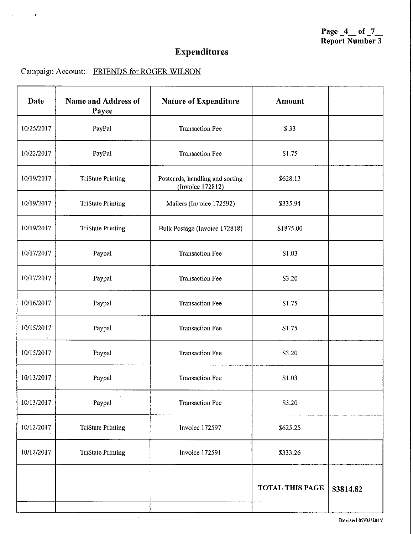# **Expenditures**

## Campaign Account: FRIENDS for ROGER WILSON

| Date       | Name and Address of<br>Payee | <b>Nature of Expenditure</b>                        | <b>Amount</b>          |           |
|------------|------------------------------|-----------------------------------------------------|------------------------|-----------|
| 10/25/2017 | PayPal                       | <b>Transaction Fee</b>                              | S.33                   |           |
| 10/22/2017 | PayPal                       | <b>Transaction Fee</b>                              | \$1.75                 |           |
| 10/19/2017 | <b>TriState Printing</b>     | Postcards, handling and sorting<br>(Invoice 172812) | \$628.13               |           |
| 10/19/2017 | <b>TriState Printing</b>     | Mailers (Invoice 172592)                            | \$335.94               |           |
| 10/19/2017 | <b>TriState Printing</b>     | Bulk Postage (Invoice 172818)                       | \$1875.00              |           |
| 10/17/2017 | Paypal                       | <b>Transaction Fee</b>                              | \$1.03                 |           |
| 10/17/2017 | Paypal                       | <b>Transaction Fee</b>                              | \$3.20                 |           |
| 10/16/2017 | Paypal                       | <b>Transaction Fee</b>                              | \$1.75                 |           |
| 10/15/2017 | Paypal                       | <b>Transaction Fee</b>                              | \$1.75                 |           |
| 10/15/2017 | Paypal                       | <b>Transaction Fee</b>                              | \$3.20                 |           |
| 10/13/2017 | Paypal                       | <b>Transaction Fee</b>                              | \$1.03                 |           |
| 10/13/2017 | Paypal                       | <b>Transaction Fee</b>                              | \$3.20                 |           |
| 10/12/2017 | <b>TriState Printing</b>     | Invoice 172597                                      | \$625.25               |           |
| 10/12/2017 | <b>TriState Printing</b>     | <b>Invoice 172591</b>                               | \$333.26               |           |
|            |                              |                                                     | <b>TOTAL THIS PAGE</b> | \$3814.82 |

 $\hat{\mathcal{L}}$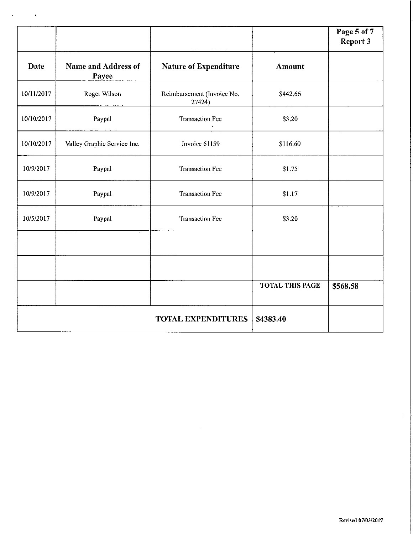|            |                              |                                      |                        | Page 5 of 7<br><b>Report 3</b> |
|------------|------------------------------|--------------------------------------|------------------------|--------------------------------|
| Date       | Name and Address of<br>Payee | Nature of Expenditure                | <b>Amount</b>          |                                |
| 10/11/2017 | Roger Wilson                 | Reimbursement (Invoice No.<br>27424) | \$442.66               |                                |
| 10/10/2017 | Paypal                       | <b>Transaction Fee</b>               | \$3.20                 |                                |
| 10/10/2017 | Valley Graphic Service Inc.  | Invoice 61159                        | \$116.60               |                                |
| 10/9/2017  | Paypal                       | <b>Transaction Fee</b>               | \$1.75                 |                                |
| 10/9/2017  | Paypal                       | <b>Transaction Fee</b>               | \$1.17                 |                                |
| 10/5/2017  | Paypal                       | <b>Transaction Fee</b>               | \$3.20                 |                                |
|            |                              |                                      |                        |                                |
|            |                              |                                      |                        |                                |
|            |                              |                                      | <b>TOTAL THIS PAGE</b> | \$568.58                       |
|            |                              | <b>TOTAL EXPENDITURES</b>            | \$4383.40              |                                |

 $\sim 10^{11}$  m  $^{-1}$  m  $^{-1}$ 

 $\hat{\boldsymbol{\beta}}$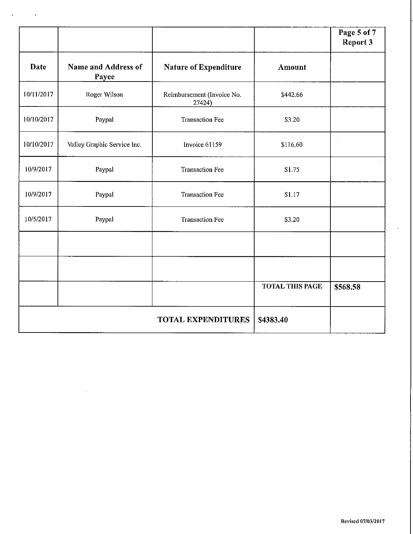|            |                              |                                      |                        | Page 5 of 7<br><b>Report 3</b> |
|------------|------------------------------|--------------------------------------|------------------------|--------------------------------|
| Date       | Name and Address of<br>Payee | <b>Nature of Expenditure</b>         | <b>Amount</b>          |                                |
| 10/11/2017 | Roger Wilson                 | Reimbursement (Invoice No.<br>27424) | \$442.66               |                                |
| 10/10/2017 | Paypal                       | <b>Transaction Fee</b>               | \$3.20                 |                                |
| 10/10/2017 | Valley Graphic Service Inc.  | $\alpha$<br>Invoice 61159            | \$116.60               |                                |
| 10/9/2017  | Paypal                       | <b>Transaction Fee</b>               | \$1.75                 |                                |
| 10/9/2017  | Paypal                       | <b>Transaction Fee</b>               | \$1.17                 |                                |
| 10/5/2017  | Paypal                       | <b>Transaction Fee</b>               | \$3.20                 |                                |
|            |                              |                                      |                        |                                |
|            |                              |                                      |                        |                                |
|            |                              |                                      | <b>TOTAL THIS PAGE</b> | \$568.58                       |
|            |                              | <b>TOTAL EXPENDITURES</b>            | \$4383.40              |                                |

 $\mathcal{O}(10^{-10})$  and  $\mathcal{O}(10^{-10})$ 

 $\sim 40$